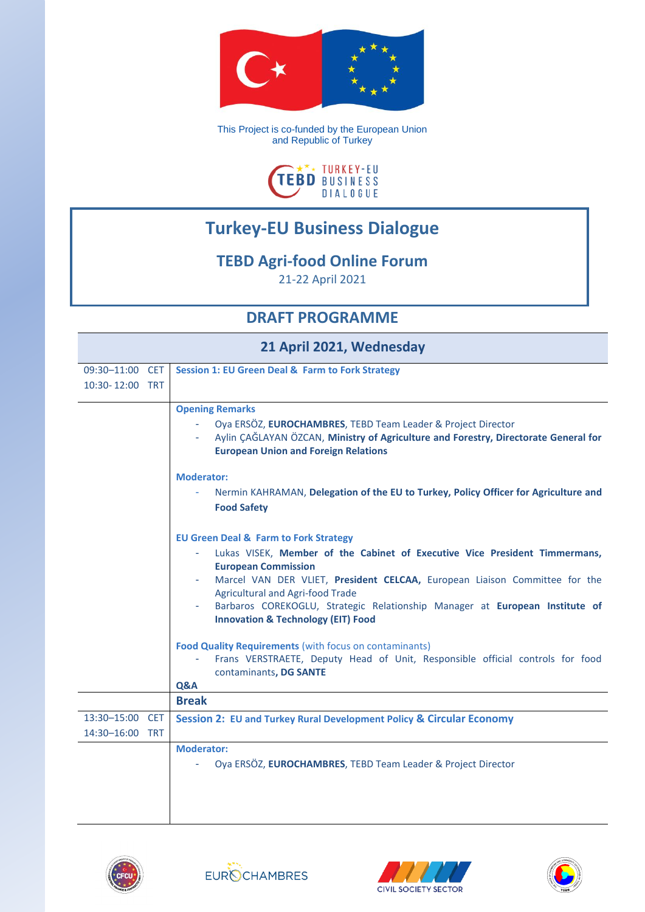

This Project is co-funded by the European Union and Republic of Turkey



## **Turkey-EU Business Dialogue**

## **TEBD Agri-food Online Forum**

21-22 April 2021

## **DRAFT PROGRAMME**

| 21 April 2021, Wednesday           |                                                                                                                                                                                                                                                                                                                                                                                                                                                                                                                                                                                                                     |  |
|------------------------------------|---------------------------------------------------------------------------------------------------------------------------------------------------------------------------------------------------------------------------------------------------------------------------------------------------------------------------------------------------------------------------------------------------------------------------------------------------------------------------------------------------------------------------------------------------------------------------------------------------------------------|--|
| 09:30-11:00 CET                    | <b>Session 1: EU Green Deal &amp; Farm to Fork Strategy</b>                                                                                                                                                                                                                                                                                                                                                                                                                                                                                                                                                         |  |
| 10:30-12:00 TRT                    |                                                                                                                                                                                                                                                                                                                                                                                                                                                                                                                                                                                                                     |  |
|                                    | <b>Opening Remarks</b><br>Oya ERSÖZ, EUROCHAMBRES, TEBD Team Leader & Project Director<br>A.<br>Aylin CAGLAYAN ÖZCAN, Ministry of Agriculture and Forestry, Directorate General for<br><b>European Union and Foreign Relations</b>                                                                                                                                                                                                                                                                                                                                                                                  |  |
|                                    | <b>Moderator:</b><br>Nermin KAHRAMAN, Delegation of the EU to Turkey, Policy Officer for Agriculture and<br><b>Food Safety</b>                                                                                                                                                                                                                                                                                                                                                                                                                                                                                      |  |
|                                    | <b>EU Green Deal &amp; Farm to Fork Strategy</b><br>Lukas VISEK, Member of the Cabinet of Executive Vice President Timmermans,<br><b>European Commission</b><br>Marcel VAN DER VLIET, President CELCAA, European Liaison Committee for the<br><b>Agricultural and Agri-food Trade</b><br>Barbaros COREKOGLU, Strategic Relationship Manager at European Institute of<br><b>Innovation &amp; Technology (EIT) Food</b><br><b>Food Quality Requirements (with focus on contaminants)</b><br>Frans VERSTRAETE, Deputy Head of Unit, Responsible official controls for food<br>contaminants, DG SANTE<br><b>Q&amp;A</b> |  |
|                                    | <b>Break</b>                                                                                                                                                                                                                                                                                                                                                                                                                                                                                                                                                                                                        |  |
| 13:30-15:00 CET<br>14:30-16:00 TRT | Session 2: EU and Turkey Rural Development Policy & Circular Economy                                                                                                                                                                                                                                                                                                                                                                                                                                                                                                                                                |  |
|                                    | <b>Moderator:</b><br>Oya ERSÖZ, EUROCHAMBRES, TEBD Team Leader & Project Director                                                                                                                                                                                                                                                                                                                                                                                                                                                                                                                                   |  |







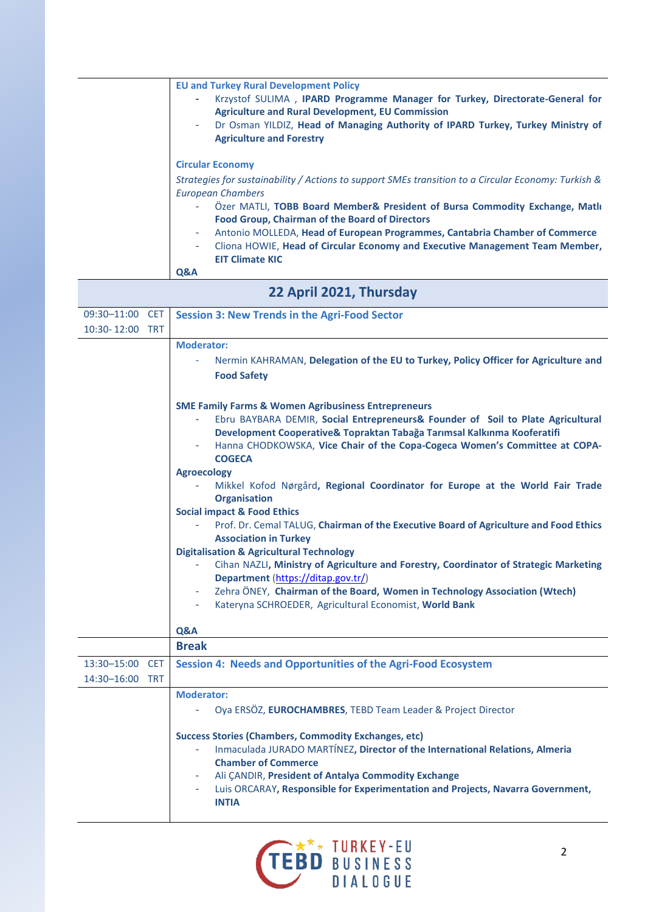| <b>EU and Turkey Rural Development Policy</b><br>Krzystof SULIMA, IPARD Programme Manager for Turkey, Directorate-General for<br>۰.<br><b>Agriculture and Rural Development, EU Commission</b><br>Dr Osman YILDIZ, Head of Managing Authority of IPARD Turkey, Turkey Ministry of<br>÷.<br><b>Agriculture and Forestry</b>                                                                                                                                                  |
|-----------------------------------------------------------------------------------------------------------------------------------------------------------------------------------------------------------------------------------------------------------------------------------------------------------------------------------------------------------------------------------------------------------------------------------------------------------------------------|
| <b>Circular Economy</b><br>Strategies for sustainability / Actions to support SMEs transition to a Circular Economy: Turkish &<br>European Chambers<br>Ozer MATLI, TOBB Board Member& President of Bursa Commodity Exchange, Matli<br>÷.<br><b>Food Group, Chairman of the Board of Directors</b><br>Antonio MOLLEDA, Head of European Programmes, Cantabria Chamber of Commerce<br>۰.<br>Cliona HOWIE, Head of Circular Economy and Executive Management Team Member,<br>٠ |
| <b>EIT Climate KIC</b>                                                                                                                                                                                                                                                                                                                                                                                                                                                      |
|                                                                                                                                                                                                                                                                                                                                                                                                                                                                             |

**Q&A**

| 22 April 2021, Thursday            |                                                                                                                                                                                                                                                                                                                                                  |  |
|------------------------------------|--------------------------------------------------------------------------------------------------------------------------------------------------------------------------------------------------------------------------------------------------------------------------------------------------------------------------------------------------|--|
| 09:30-11:00 CET<br>10:30-12:00 TRT | <b>Session 3: New Trends in the Agri-Food Sector</b>                                                                                                                                                                                                                                                                                             |  |
|                                    | <b>Moderator:</b><br>Nermin KAHRAMAN, Delegation of the EU to Turkey, Policy Officer for Agriculture and<br><b>Food Safety</b>                                                                                                                                                                                                                   |  |
|                                    | <b>SME Family Farms &amp; Women Agribusiness Entrepreneurs</b><br>Ebru BAYBARA DEMIR, Social Entrepreneurs& Founder of Soil to Plate Agricultural<br>Development Cooperative& Topraktan Tabağa Tarımsal Kalkınma Kooferatifi<br>Hanna CHODKOWSKA, Vice Chair of the Copa-Cogeca Women's Committee at COPA-<br><b>COGECA</b>                      |  |
|                                    | <b>Agroecology</b><br>Mikkel Kofod Nørgård, Regional Coordinator for Europe at the World Fair Trade<br><b>Organisation</b><br><b>Social impact &amp; Food Ethics</b>                                                                                                                                                                             |  |
|                                    | Prof. Dr. Cemal TALUG, Chairman of the Executive Board of Agriculture and Food Ethics<br><b>Association in Turkey</b>                                                                                                                                                                                                                            |  |
|                                    | <b>Digitalisation &amp; Agricultural Technology</b><br>Cihan NAZLI, Ministry of Agriculture and Forestry, Coordinator of Strategic Marketing<br>Department (https://ditap.gov.tr/)<br>Zehra ÖNEY, Chairman of the Board, Women in Technology Association (Wtech)<br><b>All College</b><br>Kateryna SCHROEDER, Agricultural Economist, World Bank |  |
|                                    | Q&A                                                                                                                                                                                                                                                                                                                                              |  |
| 13:30-15:00 CET<br>14:30-16:00 TRT | <b>Break</b><br>Session 4: Needs and Opportunities of the Agri-Food Ecosystem                                                                                                                                                                                                                                                                    |  |
|                                    | <b>Moderator:</b><br>Oya ERSÖZ, EUROCHAMBRES, TEBD Team Leader & Project Director                                                                                                                                                                                                                                                                |  |
|                                    | <b>Success Stories (Chambers, Commodity Exchanges, etc)</b><br>Inmaculada JURADO MARTÍNEZ, Director of the International Relations, Almeria<br>ä,<br><b>Chamber of Commerce</b><br>Ali CANDIR, President of Antalya Commodity Exchange<br>Luis ORCARAY, Responsible for Experimentation and Projects, Navarra Government,<br><b>INTIA</b>        |  |